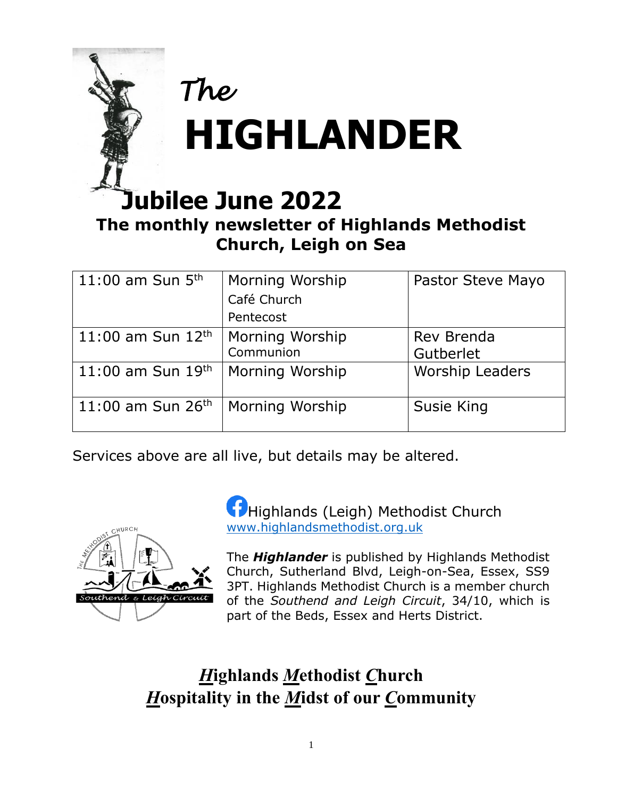

# **The monthly newsletter of Highlands Methodist Church, Leigh on Sea**

| 11:00 am Sun $5th$            | Morning Worship<br>Café Church<br>Pentecost | Pastor Steve Mayo       |
|-------------------------------|---------------------------------------------|-------------------------|
| 11:00 am Sun $12^{th}$        | Morning Worship<br>Communion                | Rev Brenda<br>Gutberlet |
| 11:00 am Sun $19^{th}$        | Morning Worship                             | <b>Worship Leaders</b>  |
| 11:00 am Sun 26 <sup>th</sup> | Morning Worship                             | Susie King              |

Services above are all live, but details may be altered.



**Highlands (Leigh) Methodist Church** [www.highlandsmethodist.org.uk](http://www.highlandsmethodist.org.uk/)

The *Highlander* is published by Highlands Methodist Church, Sutherland Blvd, Leigh-on-Sea, Essex, SS9 3PT. Highlands Methodist Church is a member church of the *Southend and Leigh Circuit*, 34/10, which is part of the Beds, Essex and Herts District.

## *H***ighlands** *M***ethodist** *C***hurch** *H***ospitality in the** *M***idst of our** *C***ommunity**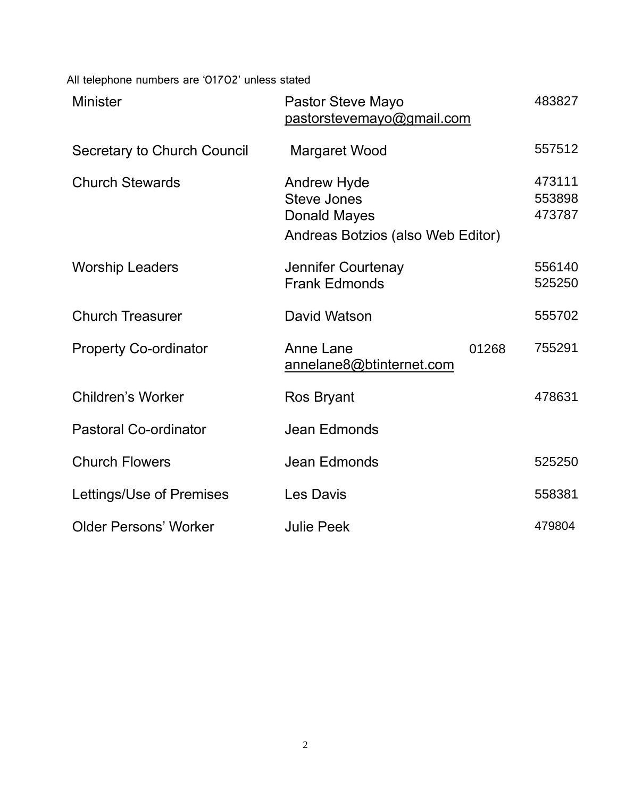All telephone numbers are '01702' unless stated

| <b>Minister</b>              | Pastor Steve Mayo<br>pastorstevemayo@gmail.com                                                       | 483827 |                            |
|------------------------------|------------------------------------------------------------------------------------------------------|--------|----------------------------|
| Secretary to Church Council  | <b>Margaret Wood</b>                                                                                 |        | 557512                     |
| <b>Church Stewards</b>       | <b>Andrew Hyde</b><br><b>Steve Jones</b><br><b>Donald Mayes</b><br>Andreas Botzios (also Web Editor) |        | 473111<br>553898<br>473787 |
| <b>Worship Leaders</b>       | Jennifer Courtenay<br><b>Frank Edmonds</b>                                                           |        | 556140<br>525250           |
| <b>Church Treasurer</b>      | David Watson                                                                                         |        | 555702                     |
| <b>Property Co-ordinator</b> | <b>Anne Lane</b><br>annelane8@btinternet.com                                                         | 01268  | 755291                     |
| <b>Children's Worker</b>     | Ros Bryant                                                                                           |        | 478631                     |
| <b>Pastoral Co-ordinator</b> | Jean Edmonds                                                                                         |        |                            |
| <b>Church Flowers</b>        | Jean Edmonds                                                                                         |        | 525250                     |
| Lettings/Use of Premises     | Les Davis                                                                                            |        | 558381                     |
| <b>Older Persons' Worker</b> | <b>Julie Peek</b>                                                                                    |        | 479804                     |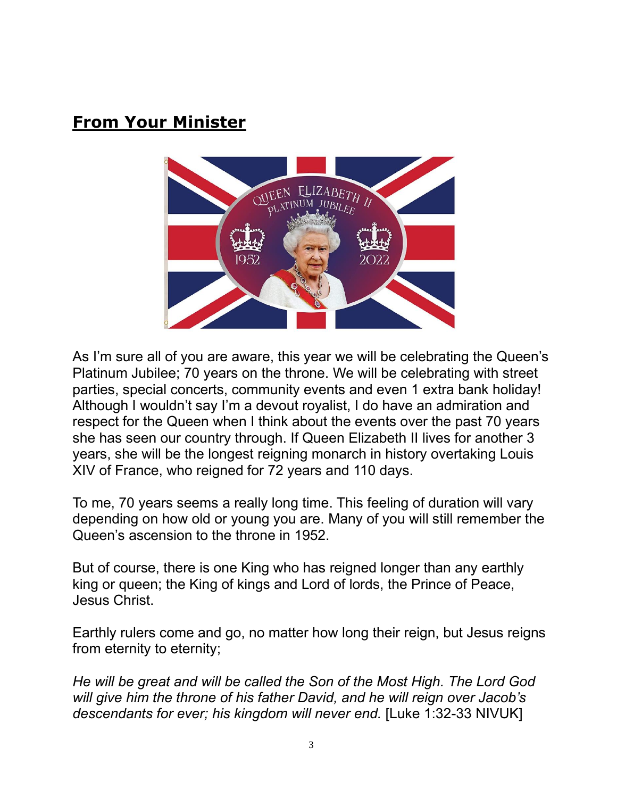## **From Your Minister**



As I'm sure all of you are aware, this year we will be celebrating the Queen's Platinum Jubilee; 70 years on the throne. We will be celebrating with street parties, special concerts, community events and even 1 extra bank holiday! Although I wouldn't say I'm a devout royalist, I do have an admiration and respect for the Queen when I think about the events over the past 70 years she has seen our country through. If Queen Elizabeth II lives for another 3 years, she will be the longest reigning monarch in history overtaking Louis XIV of France, who reigned for 72 years and 110 days.

To me, 70 years seems a really long time. This feeling of duration will vary depending on how old or young you are. Many of you will still remember the Queen's ascension to the throne in 1952.

But of course, there is one King who has reigned longer than any earthly king or queen; the King of kings and Lord of lords, the Prince of Peace, Jesus Christ.

Earthly rulers come and go, no matter how long their reign, but Jesus reigns from eternity to eternity;

*He will be great and will be called the Son of the Most High. The Lord God will give him the throne of his father David, and he will reign over Jacob's descendants for ever; his kingdom will never end.* [Luke 1:32-33 NIVUK]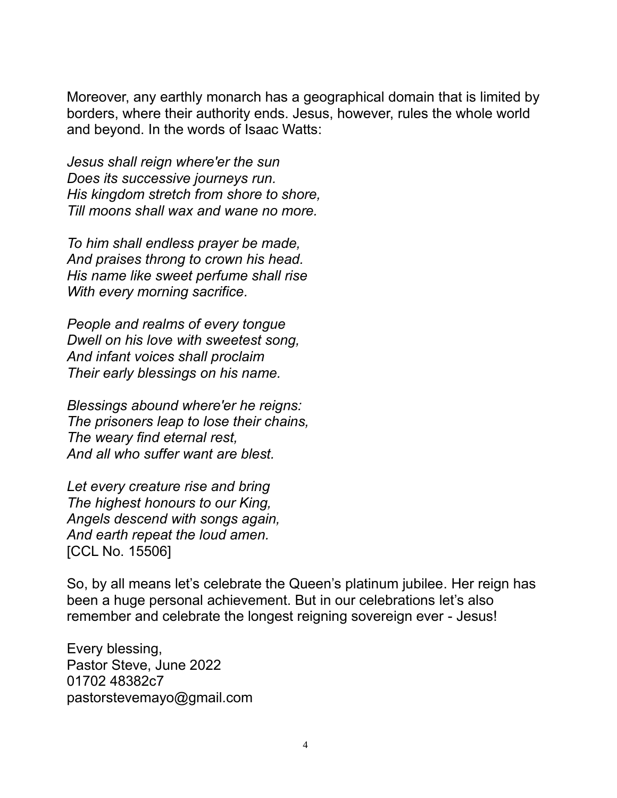Moreover, any earthly monarch has a geographical domain that is limited by borders, where their authority ends. Jesus, however, rules the whole world and beyond. In the words of Isaac Watts:

*Jesus shall reign where'er the sun Does its successive journeys run. His kingdom stretch from shore to shore, Till moons shall wax and wane no more.*

*To him shall endless prayer be made, And praises throng to crown his head. His name like sweet perfume shall rise With every morning sacrifice.*

*People and realms of every tongue Dwell on his love with sweetest song, And infant voices shall proclaim Their early blessings on his name.*

*Blessings abound where'er he reigns: The prisoners leap to lose their chains, The weary find eternal rest, And all who suffer want are blest.*

*Let every creature rise and bring The highest honours to our King, Angels descend with songs again, And earth repeat the loud amen.* [CCL No. 15506]

So, by all means let's celebrate the Queen's platinum jubilee. Her reign has been a huge personal achievement. But in our celebrations let's also remember and celebrate the longest reigning sovereign ever - Jesus!

Every blessing, Pastor Steve, June 2022 01702 48382c7 pastorstevemayo@gmail.com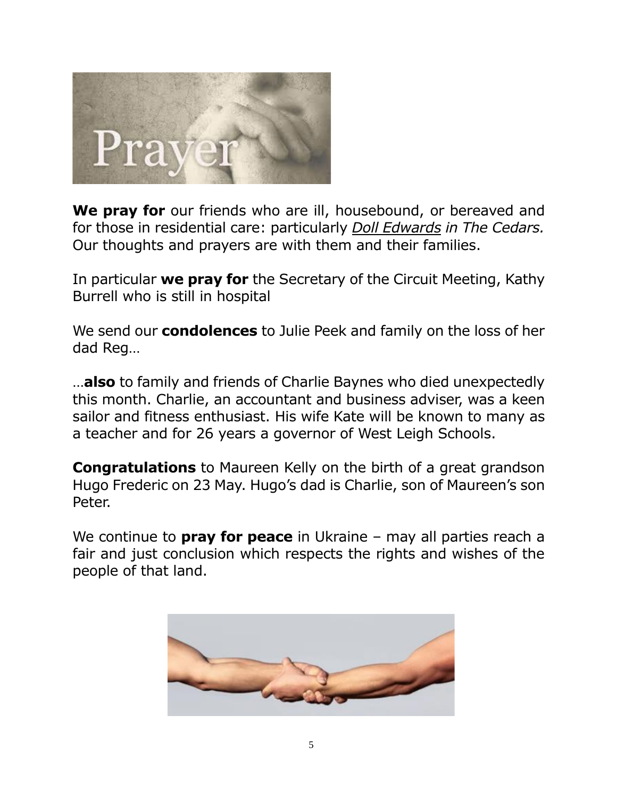

**We pray for** our friends who are ill, housebound, or bereaved and for those in residential care: particularly *Doll Edwards in The Cedars.*  Our thoughts and prayers are with them and their families.

In particular **we pray for** the Secretary of the Circuit Meeting, Kathy Burrell who is still in hospital

We send our **condolences** to Julie Peek and family on the loss of her dad Reg…

…**also** to family and friends of Charlie Baynes who died unexpectedly this month. Charlie, an accountant and business adviser, was a keen sailor and fitness enthusiast. His wife Kate will be known to many as a teacher and for 26 years a governor of West Leigh Schools.

**Congratulations** to Maureen Kelly on the birth of a great grandson Hugo Frederic on 23 May. Hugo's dad is Charlie, son of Maureen's son Peter.

We continue to **pray for peace** in Ukraine – may all parties reach a fair and just conclusion which respects the rights and wishes of the people of that land.

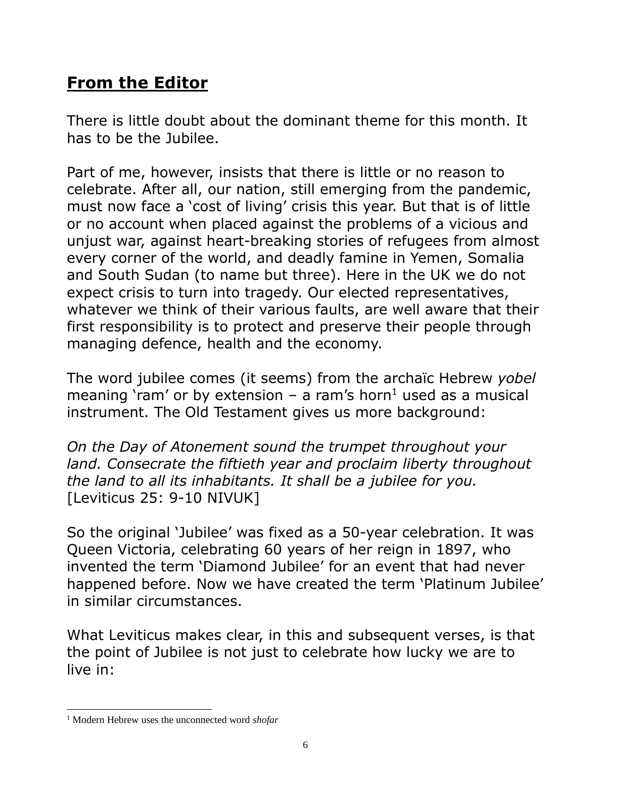## **From the Editor**

There is little doubt about the dominant theme for this month. It has to be the Jubilee.

Part of me, however, insists that there is little or no reason to celebrate. After all, our nation, still emerging from the pandemic, must now face a 'cost of living' crisis this year. But that is of little or no account when placed against the problems of a vicious and unjust war, against heart-breaking stories of refugees from almost every corner of the world, and deadly famine in Yemen, Somalia and South Sudan (to name but three). Here in the UK we do not expect crisis to turn into tragedy. Our elected representatives, whatever we think of their various faults, are well aware that their first responsibility is to protect and preserve their people through managing defence, health and the economy.

The word jubilee comes (it seems) from the archaïc Hebrew *yobel* meaning 'ram' or by extension – a ram's horn<sup>1</sup> used as a musical instrument. The Old Testament gives us more background:

*On the Day of Atonement sound the trumpet throughout your land. Consecrate the fiftieth year and proclaim liberty throughout the land to all its inhabitants. It shall be a jubilee for you.* [Leviticus 25: 9-10 NIVUK]

So the original 'Jubilee' was fixed as a 50-year celebration. It was Queen Victoria, celebrating 60 years of her reign in 1897, who invented the term 'Diamond Jubilee' for an event that had never happened before. Now we have created the term 'Platinum Jubilee' in similar circumstances.

What Leviticus makes clear, in this and subsequent verses, is that the point of Jubilee is not just to celebrate how lucky we are to live in:

<sup>1</sup> Modern Hebrew uses the unconnected word *shofar*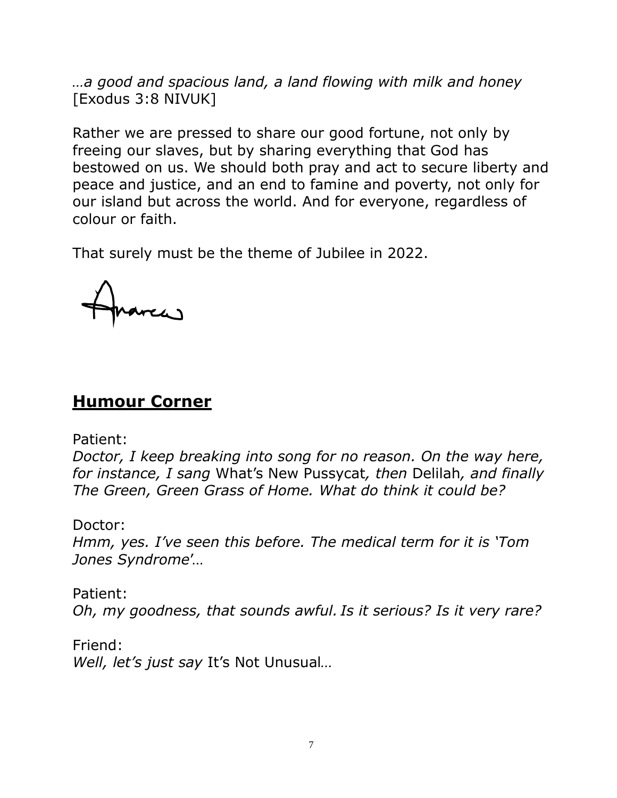*…a good and spacious land, a land flowing with milk and honey* [Exodus 3:8 NIVUK]

Rather we are pressed to share our good fortune, not only by freeing our slaves, but by sharing everything that God has bestowed on us. We should both pray and act to secure liberty and peace and justice, and an end to famine and poverty, not only for our island but across the world. And for everyone, regardless of colour or faith.

That surely must be the theme of Jubilee in 2022.

### **Humour Corner**

Patient:

*Doctor, I keep breaking into song for no reason. On the way here, for instance, I sang* What's New Pussycat*, then* Delilah*, and finally The Green, Green Grass of Home. What do think it could be?*

Doctor:

*Hmm, yes. I've seen this before. The medical term for it is 'Tom Jones Syndrome*'…

Patient: *Oh, my goodness, that sounds awful. Is it serious? Is it very rare?*

Friend: *Well, let's just say* It's Not Unusual*…*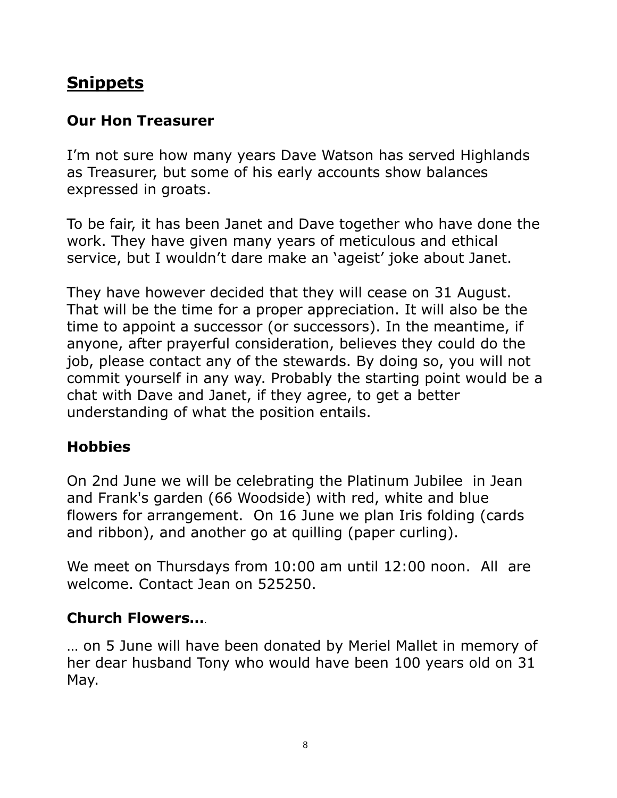## **Snippets**

#### **Our Hon Treasurer**

I'm not sure how many years Dave Watson has served Highlands as Treasurer, but some of his early accounts show balances expressed in groats.

To be fair, it has been Janet and Dave together who have done the work. They have given many years of meticulous and ethical service, but I wouldn't dare make an 'ageist' joke about Janet.

They have however decided that they will cease on 31 August. That will be the time for a proper appreciation. It will also be the time to appoint a successor (or successors). In the meantime, if anyone, after prayerful consideration, believes they could do the job, please contact any of the stewards. By doing so, you will not commit yourself in any way. Probably the starting point would be a chat with Dave and Janet, if they agree, to get a better understanding of what the position entails.

#### **Hobbies**

On 2nd June we will be celebrating the Platinum Jubilee in Jean and Frank's garden (66 Woodside) with red, white and blue flowers for arrangement. On 16 June we plan Iris folding (cards and ribbon), and another go at quilling (paper curling).

We meet on Thursdays from 10:00 am until 12:00 noon. All are welcome. Contact Jean on 525250.

### **Church Flowers…**.

… on 5 June will have been donated by Meriel Mallet in memory of her dear husband Tony who would have been 100 years old on 31 May.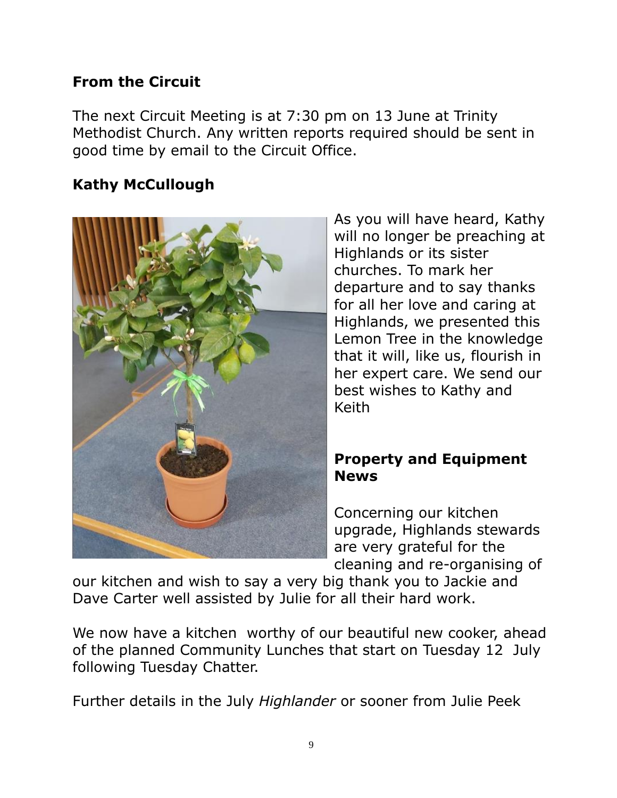#### **From the Circuit**

The next Circuit Meeting is at 7:30 pm on 13 June at Trinity Methodist Church. Any written reports required should be sent in good time by email to the Circuit Office.

#### **Kathy McCullough**



As you will have heard, Kathy will no longer be preaching at Highlands or its sister churches. To mark her departure and to say thanks for all her love and caring at Highlands, we presented this Lemon Tree in the knowledge that it will, like us, flourish in her expert care. We send our best wishes to Kathy and Keith

#### **Property and Equipment News**

Concerning our kitchen upgrade, Highlands stewards are very grateful for the cleaning and re-organising of

our kitchen and wish to say a very big thank you to Jackie and Dave Carter well assisted by Julie for all their hard work.

We now have a kitchen worthy of our beautiful new cooker, ahead of the planned Community Lunches that start on Tuesday 12 July following Tuesday Chatter.

Further details in the July *Highlander* or sooner from Julie Peek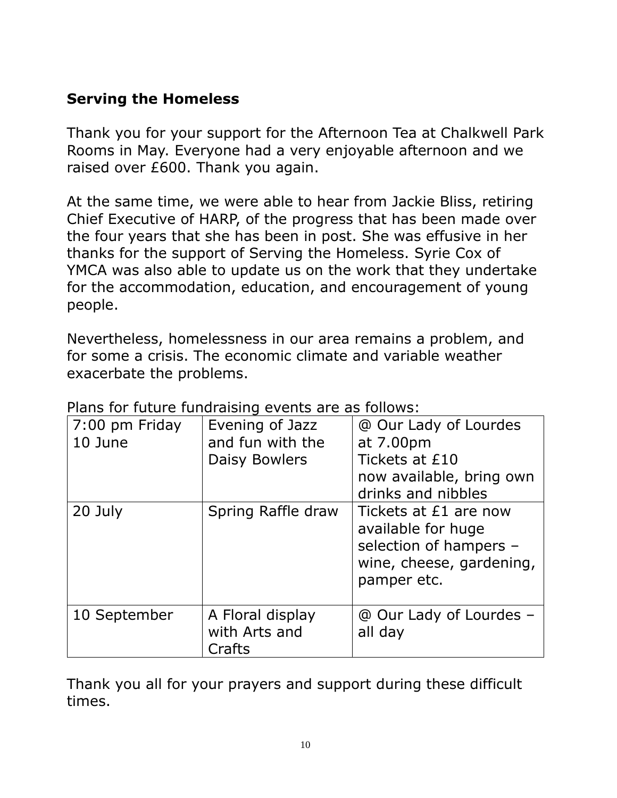#### **Serving the Homeless**

Thank you for your support for the Afternoon Tea at Chalkwell Park Rooms in May. Everyone had a very enjoyable afternoon and we raised over £600. Thank you again.

At the same time, we were able to hear from Jackie Bliss, retiring Chief Executive of HARP, of the progress that has been made over the four years that she has been in post. She was effusive in her thanks for the support of Serving the Homeless. Syrie Cox of YMCA was also able to update us on the work that they undertake for the accommodation, education, and encouragement of young people.

Nevertheless, homelessness in our area remains a problem, and for some a crisis. The economic climate and variable weather exacerbate the problems.

| 7:00 pm Friday<br>10 June | Evening of Jazz<br>and fun with the<br>Daisy Bowlers | @ Our Lady of Lourdes<br>at 7.00pm<br>Tickets at £10<br>now available, bring own<br>drinks and nibbles           |
|---------------------------|------------------------------------------------------|------------------------------------------------------------------------------------------------------------------|
| 20 July                   | Spring Raffle draw                                   | Tickets at £1 are now<br>available for huge<br>selection of hampers -<br>wine, cheese, gardening,<br>pamper etc. |
| 10 September              | A Floral display<br>with Arts and<br>Crafts          | @ Our Lady of Lourdes -<br>all day                                                                               |

Plans for future fundraising events are as follows:

Thank you all for your prayers and support during these difficult times.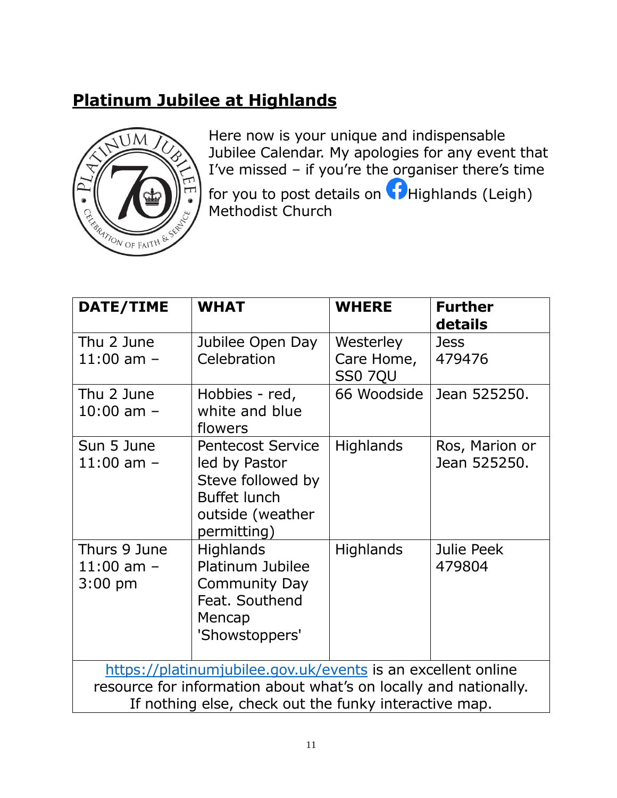## **Platinum Jubilee at Highlands**



Here now is your unique and indispensable Jubilee Calendar. My apologies for any event that I've missed – if you're the organiser there's time for you to post details on  $\bigcap$  Highlands (Leigh) Methodist Church

| DATE/TIME                                                                                                                                                                                 | <b>WHAT</b>                                                                                                              | <b>WHERE</b>                              | <b>Further</b><br>details      |
|-------------------------------------------------------------------------------------------------------------------------------------------------------------------------------------------|--------------------------------------------------------------------------------------------------------------------------|-------------------------------------------|--------------------------------|
| Thu 2 June<br>$11:00$ am $-$                                                                                                                                                              | Jubilee Open Day<br>Celebration                                                                                          | Westerley<br>Care Home,<br><b>SS0 7QU</b> | <b>Jess</b><br>479476          |
| Thu 2 June<br>$10:00$ am $-$                                                                                                                                                              | Hobbies - red,<br>white and blue<br>flowers                                                                              | 66 Woodside                               | Jean 525250.                   |
| Sun 5 June<br>$11:00$ am $-$                                                                                                                                                              | <b>Pentecost Service</b><br>led by Pastor<br>Steve followed by<br><b>Buffet lunch</b><br>outside (weather<br>permitting) | <b>Highlands</b>                          | Ros, Marion or<br>Jean 525250. |
| Thurs 9 June<br>$11:00$ am $-$<br>$3:00$ pm                                                                                                                                               | <b>Highlands</b><br>Platinum Jubilee<br><b>Community Day</b><br>Feat. Southend<br>Mencap<br>'Showstoppers'               | <b>Highlands</b>                          | Julie Peek<br>479804           |
| https://platinumjubilee.gov.uk/events is an excellent online<br>resource for information about what's on locally and nationally.<br>If nothing else, check out the funky interactive map. |                                                                                                                          |                                           |                                |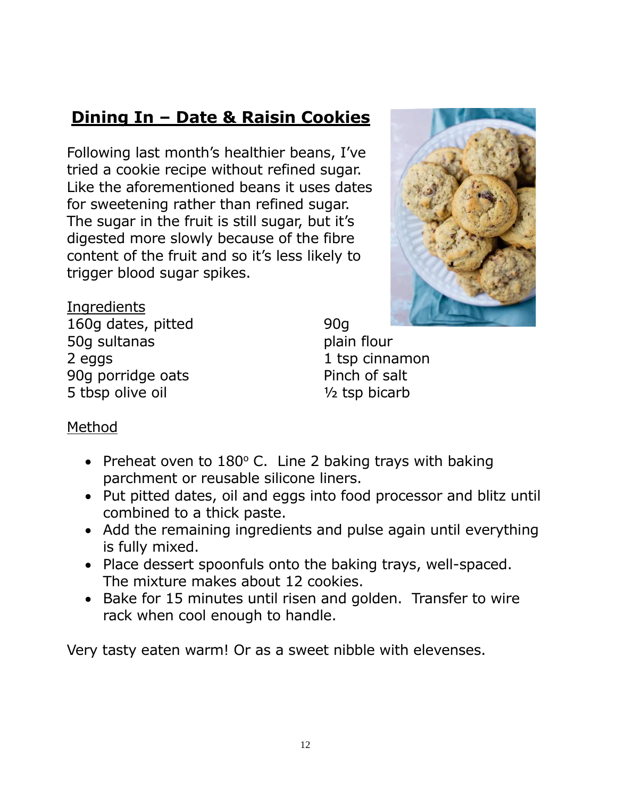## **Dining In – Date & Raisin Cookies**

Following last month's healthier beans, I've tried a cookie recipe without refined sugar. Like the aforementioned beans it uses dates for sweetening rather than refined sugar. The sugar in the fruit is still sugar, but it's digested more slowly because of the fibre content of the fruit and so it's less likely to trigger blood sugar spikes.



**Ingredients** 160g dates, pitted 50g sultanas 2 eggs 90g porridge oats 5 tbsp olive oil

90g plain flour 1 tsp cinnamon Pinch of salt  $1/2$  tsp bicarb

#### Method

- Preheat oven to  $180^{\circ}$  C. Line 2 baking trays with baking parchment or reusable silicone liners.
- Put pitted dates, oil and eggs into food processor and blitz until combined to a thick paste.
- Add the remaining ingredients and pulse again until everything is fully mixed.
- Place dessert spoonfuls onto the baking trays, well-spaced. The mixture makes about 12 cookies.
- Bake for 15 minutes until risen and golden. Transfer to wire rack when cool enough to handle.

Very tasty eaten warm! Or as a sweet nibble with elevenses.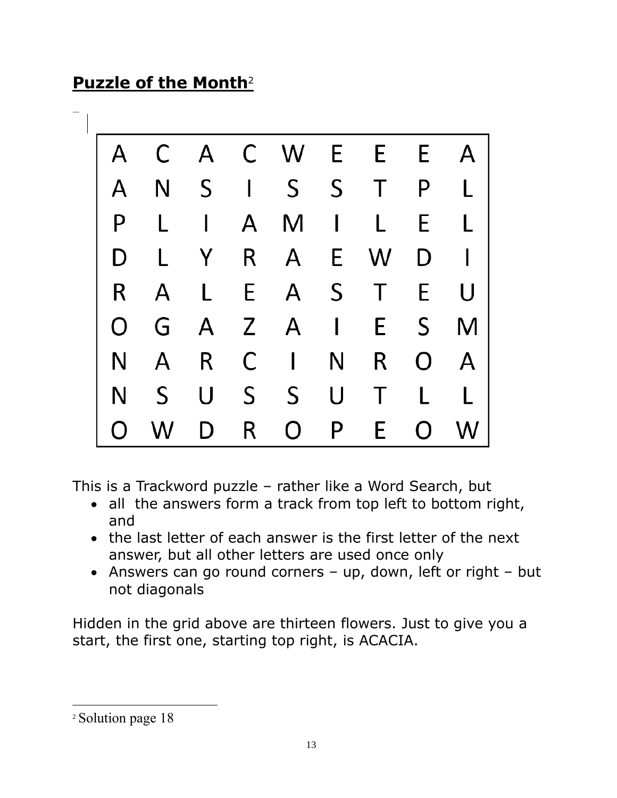## **Puzzle of the Month**<sup>2</sup>

 $=$   $\perp$ 

| A | C | A | C            | W            | E.           | E | E | A |
|---|---|---|--------------|--------------|--------------|---|---|---|
| A | N | S | $\mathbf{I}$ | S.           | $\mathsf{S}$ | T | P | L |
| P | L | I | A            | M            | $\mathbf{I}$ | L | E | L |
| D | L | Y | R            | A            | E            | W | D | I |
| R | A | L | E            | A            | S            | T | E | U |
| O | G | A | Z            | A            | $\vert$      | E | S | M |
| N | A | R | C            | $\mathsf{I}$ | N            | R | O | A |
| N | S | U | S            | $S_{\cdot}$  | U            | Τ | L | L |
| O | W | D | R            | O            | P            | E | O | W |

This is a Trackword puzzle – rather like a Word Search, but

- all the answers form a track from top left to bottom right, and
- the last letter of each answer is the first letter of the next answer, but all other letters are used once only
- Answers can go round corners up, down, left or right but not diagonals

Hidden in the grid above are thirteen flowers. Just to give you a start, the first one, starting top right, is ACACIA.

<sup>&</sup>lt;sup>2</sup> Solution page 18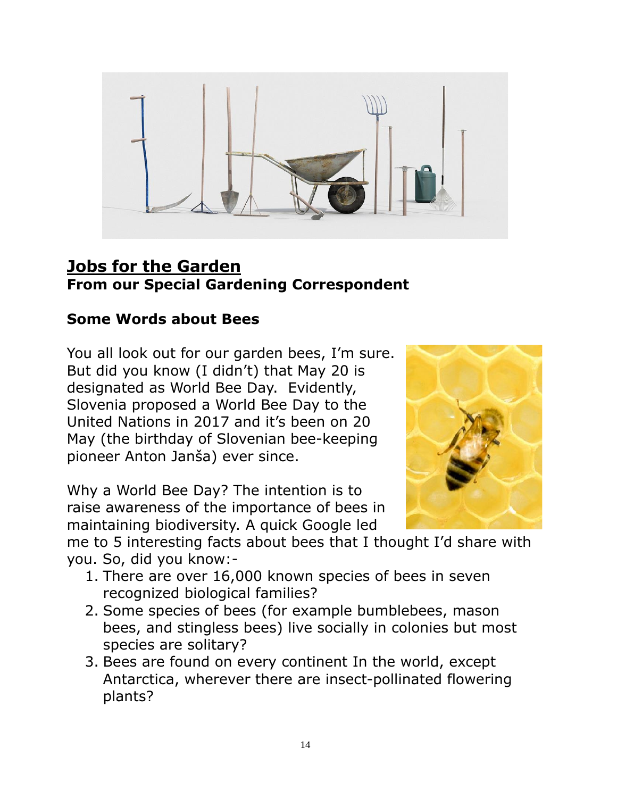

#### **Jobs for the Garden From our Special Gardening Correspondent**

#### **Some Words about Bees**

You all look out for our garden bees, I'm sure. But did you know (I didn't) that May 20 is designated as World Bee Day. Evidently, Slovenia proposed a World Bee Day to the United Nations in 2017 and it's been on 20 May (the birthday of Slovenian bee-keeping pioneer Anton Janša) ever since.

Why a World Bee Day? The intention is to raise awareness of the importance of bees in maintaining biodiversity. A quick Google led



me to 5 interesting facts about bees that I thought I'd share with you. So, did you know:-

- 1. There are over 16,000 known species of bees in seven recognized biological families?
- 2. Some species of bees (for example bumblebees, mason bees, and stingless bees) live socially in colonies but most species are solitary?
- 3. Bees are found on every continent In the world, except Antarctica, wherever there are insect-pollinated flowering plants?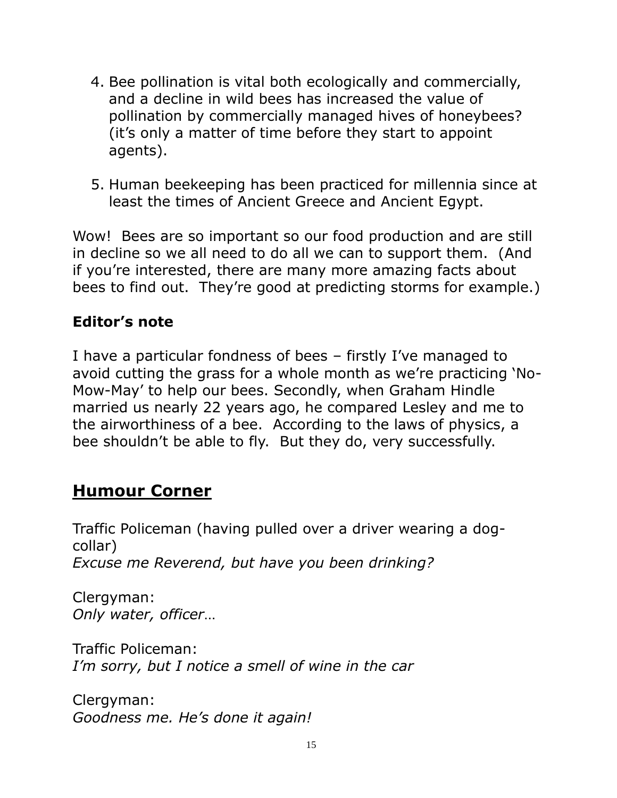- 4. Bee pollination is vital both ecologically and commercially, and a decline in wild bees has increased the value of pollination by commercially managed hives of honeybees? (it's only a matter of time before they start to appoint agents).
- 5. Human beekeeping has been practiced for millennia since at least the times of Ancient Greece and Ancient Egypt.

Wow! Bees are so important so our food production and are still in decline so we all need to do all we can to support them. (And if you're interested, there are many more amazing facts about bees to find out. They're good at predicting storms for example.)

#### **Editor's note**

I have a particular fondness of bees – firstly I've managed to avoid cutting the grass for a whole month as we're practicing 'No-Mow-May' to help our bees. Secondly, when Graham Hindle married us nearly 22 years ago, he compared Lesley and me to the airworthiness of a bee. According to the laws of physics, a bee shouldn't be able to fly. But they do, very successfully.

#### **Humour Corner**

Traffic Policeman (having pulled over a driver wearing a dogcollar) *Excuse me Reverend, but have you been drinking?*

Clergyman: *Only water, officer*…

Traffic Policeman: *I'm sorry, but I notice a smell of wine in the car*

Clergyman: *Goodness me. He's done it again!*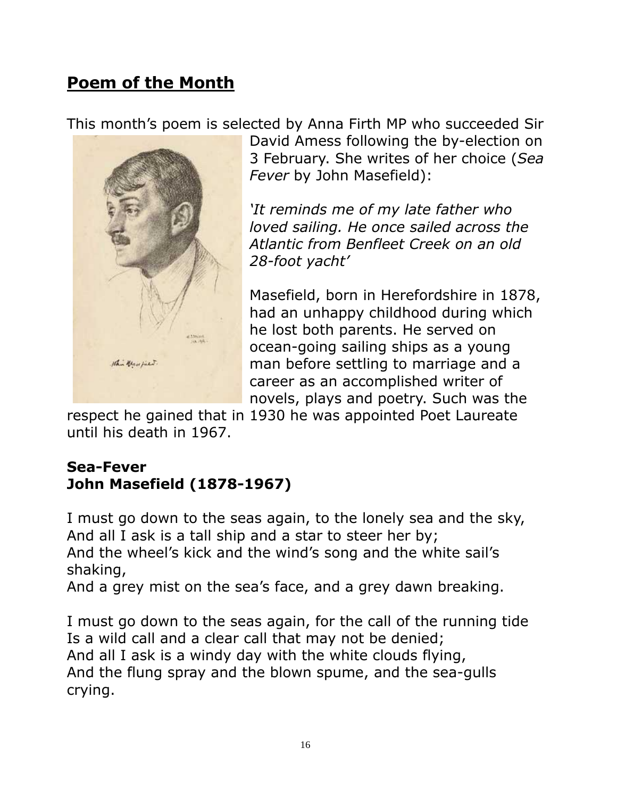## **Poem of the Month**

This month's poem is selected by Anna Firth MP who succeeded Sir



David Amess following the by-election on 3 February. She writes of her choice (*Sea Fever* by John Masefield):

*'It reminds me of my late father who loved sailing. He once sailed across the Atlantic from Benfleet Creek on an old 28-foot yacht'*

Masefield, born in Herefordshire in 1878, had an unhappy childhood during which he lost both parents. He served on ocean-going sailing ships as a young man before settling to marriage and a career as an accomplished writer of novels, plays and poetry. Such was the

respect he gained that in 1930 he was appointed Poet Laureate until his death in 1967.

#### **Sea-Fever [John Masefield](https://www.poetryfoundation.org/poets/john-masefield) (1878-1967)**

I must go down to the seas again, to the lonely sea and the sky, And all I ask is a tall ship and a star to steer her by; And the wheel's kick and the wind's song and the white sail's shaking,

And a grey mist on the sea's face, and a grey dawn breaking.

I must go down to the seas again, for the call of the running tide Is a wild call and a clear call that may not be denied; And all I ask is a windy day with the white clouds flying, And the flung spray and the blown spume, and the sea-gulls crying.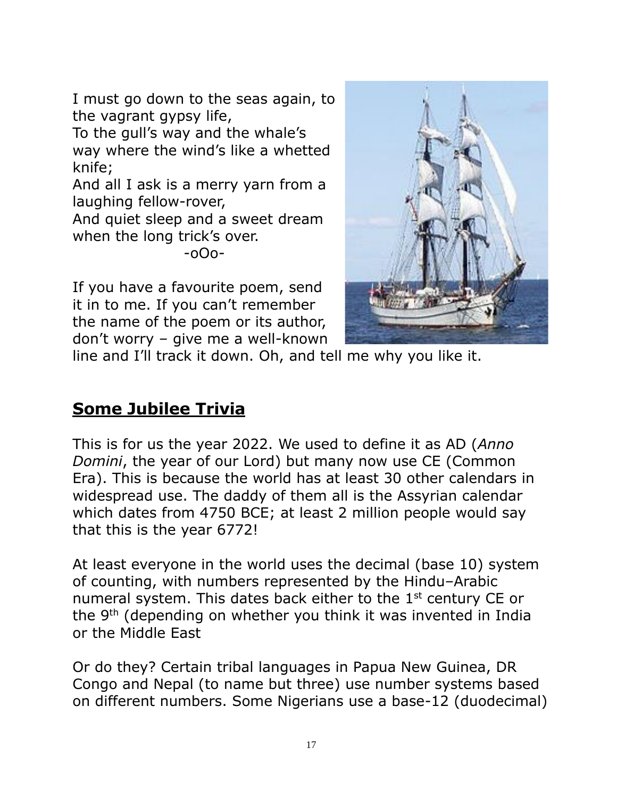I must go down to the seas again, to the vagrant gypsy life,

To the gull's way and the whale's way where the wind's like a whetted knife;

And all I ask is a merry yarn from a laughing fellow-rover,

And quiet sleep and a sweet dream when the long trick's over.

-oOo-

If you have a favourite poem, send it in to me. If you can't remember the name of the poem or its author, don't worry – give me a well-known



line and I'll track it down. Oh, and tell me why you like it.

## **Some Jubilee Trivia**

This is for us the year 2022. We used to define it as AD (*Anno Domini*, the year of our Lord) but many now use CE (Common Era). This is because the world has at least 30 other calendars in widespread use. The daddy of them all is the Assyrian calendar which dates from 4750 BCE; at least 2 million people would say that this is the year 6772!

At least everyone in the world uses the decimal (base 10) system of counting, with numbers represented by the Hindu–Arabic numeral system. This dates back either to the 1<sup>st</sup> century CE or the 9<sup>th</sup> (depending on whether you think it was invented in India or the Middle East

Or do they? Certain tribal languages in Papua New Guinea, DR Congo and Nepal (to name but three) use number systems based on different numbers. Some Nigerians use a base-12 (duodecimal)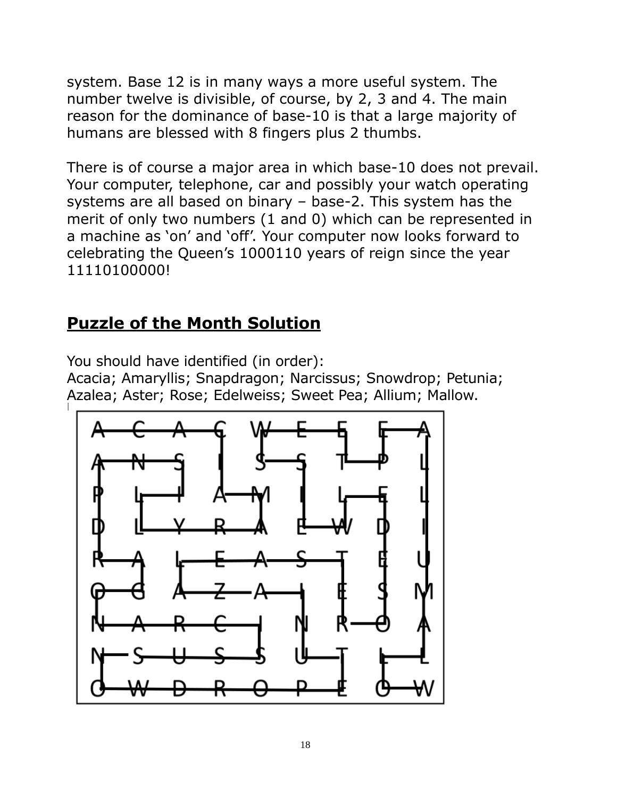system. Base 12 is in many ways a more useful system. The number twelve is divisible, of course, by 2, 3 and 4. The main reason for the dominance of base-10 is that a large majority of humans are blessed with 8 fingers plus 2 thumbs.

There is of course a major area in which base-10 does not prevail. Your computer, telephone, car and possibly your watch operating systems are all based on binary – base-2. This system has the merit of only two numbers (1 and 0) which can be represented in a machine as 'on' and 'off'. Your computer now looks forward to celebrating the Queen's 1000110 years of reign since the year 11110100000!

## **Puzzle of the Month Solution**

You should have identified (in order):

Acacia; Amaryllis; Snapdragon; Narcissus; Snowdrop; Petunia; Azalea; Aster; Rose; Edelweiss; Sweet Pea; Allium; Mallow.

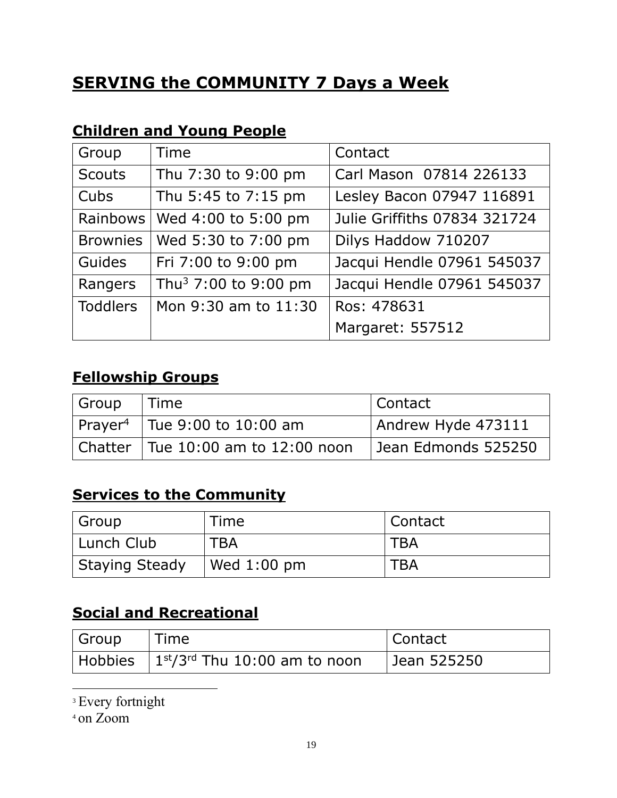## **SERVING the COMMUNITY 7 Days a Week**

### **Children and Young People**

| Group           | Time                             | Contact                      |
|-----------------|----------------------------------|------------------------------|
| <b>Scouts</b>   | Thu 7:30 to 9:00 pm              | Carl Mason 07814 226133      |
| Cubs            | Thu 5:45 to 7:15 pm              | Lesley Bacon 07947 116891    |
| Rainbows        | Wed 4:00 to 5:00 pm              | Julie Griffiths 07834 321724 |
| <b>Brownies</b> | Wed 5:30 to 7:00 pm              | Dilys Haddow 710207          |
| Guides          | Fri 7:00 to 9:00 pm              | Jacqui Hendle 07961 545037   |
| Rangers         | Thu <sup>3</sup> 7:00 to 9:00 pm | Jacqui Hendle 07961 545037   |
| <b>Toddlers</b> | Mon 9:30 am to 11:30             | Ros: 478631                  |
|                 |                                  | Margaret: 557512             |

#### **Fellowship Groups**

| Group | Time                                           | l Contact           |
|-------|------------------------------------------------|---------------------|
|       | $ $ Prayer <sup>4</sup>   Tue 9:00 to 10:00 am | Andrew Hyde 473111  |
|       | $ $ Chatter $ $ Tue 10:00 am to 12:00 noon     | Jean Edmonds 525250 |

#### **Services to the Community**

| Group                 | Time                                | Contact    |
|-----------------------|-------------------------------------|------------|
| Lunch Club            | <b>TBA</b>                          | <b>TBA</b> |
| <b>Staying Steady</b> | $\sqrt{\text{Wed }1:00 \text{ pm}}$ | <b>TBA</b> |

### **Social and Recreational**

| <sup>l</sup> Group | i Time i                                     | ⊩Contact    |
|--------------------|----------------------------------------------|-------------|
|                    | Hobbies $1^{st}/3^{rd}$ Thu 10:00 am to noon | Jean 525250 |

<sup>3</sup> Every fortnight

<sup>4</sup> on Zoom